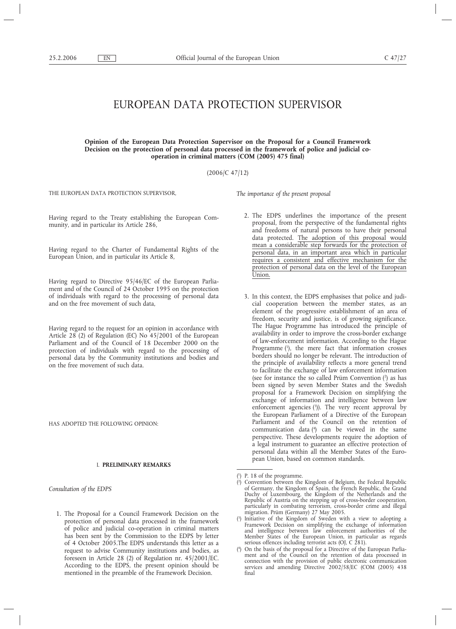# EUROPEAN DATA PROTECTION SUPERVISOR

**Opinion of the European Data Protection Supervisor on the Proposal for a Council Framework Decision on the protection of personal data processed in the framework of police and judicial cooperation in criminal matters (COM (2005) 475 final)**

(2006/C 47/12)

THE EUROPEAN DATA PROTECTION SUPERVISOR,

Having regard to the Treaty establishing the European Community, and in particular its Article 286,

Having regard to the Charter of Fundamental Rights of the European Union, and in particular its Article 8,

Having regard to Directive 95/46/EC of the European Parliament and of the Council of 24 October 1995 on the protection of individuals with regard to the processing of personal data and on the free movement of such data,

Having regard to the request for an opinion in accordance with Article 28 (2) of Regulation (EC) No 45/2001 of the European Parliament and of the Council of 18 December 2000 on the protection of individuals with regard to the processing of personal data by the Community institutions and bodies and on the free movement of such data.

HAS ADOPTED THE FOLLOWING OPINION:

#### I. **PRELIMINARY REMARKS**

*Consultation of the EDPS*

1. The Proposal for a Council Framework Decision on the protection of personal data processed in the framework of police and judicial co-operation in criminal matters has been sent by the Commission to the EDPS by letter of 4 October 2005.The EDPS understands this letter as a request to advise Community institutions and bodies, as foreseen in Article 28 (2) of Regulation nr. 45/2001/EC. According to the EDPS, the present opinion should be mentioned in the preamble of the Framework Decision.

*The importance of the present proposal*

- 2. The EDPS underlines the importance of the present proposal, from the perspective of the fundamental rights and freedoms of natural persons to have their personal data protected. The adoption of this proposal would mean a considerable step forwards for the protection of personal data, in an important area which in particular requires a consistent and effective mechanism for the protection of personal data on the level of the European Union.
- 3. In this context, the EDPS emphasises that police and judicial cooperation between the member states, as an element of the progressive establishment of an area of freedom, security and justice, is of growing significance. The Hague Programme has introduced the principle of availability in order to improve the cross-border exchange of law-enforcement information. According to the Hague Programme (1), the mere fact that information crosses borders should no longer be relevant. The introduction of the principle of availability reflects a more general trend to facilitate the exchange of law enforcement information (see for instance the so called Prüm Convention  $(2)$ ) as has been signed by seven Member States and the Swedish proposal for a Framework Decision on simplifying the exchange of information and intelligence between law enforcement agencies (3 )). The very recent approval by the European Parliament of a Directive of the European Parliament and of the Council on the retention of communication data (4 ) can be viewed in the same perspective. These developments require the adoption of a legal instrument to guarantee an effective protection of personal data within all the Member States of the European Union, based on common standards.

<sup>(</sup> 1 ) P. 18 of the programme.

<sup>(</sup> 2 ) Convention between the Kingdom of Belgium, the Federal Republic of Germany, the Kingdom of Spain, the French Republic, the Grand Duchy of Luxembourg, the Kingdom of the Netherlands and the Republic of Austria on the stepping up of cross-border cooperation, particularly in combating terrorism, cross-border crime and illegal migration. Prüm (Germany) 27 May 2005.

<sup>(</sup> 3 ) Initiative of the Kingdom of Sweden with a view to adopting a Framework Decision on simplifying the exchange of information and intelligence between law enforcement authorities of the Member States of the European Union, in particular as regards serious offences including terrorist acts (OJ, C 281).

<sup>(</sup> 4 ) On the basis of the proposal for a Directive of the European Parliament and of the Council on the retention of data processed in connection with the provision of public electronic communication services and amending Directive 2002/58/EC (COM (2005) 438 final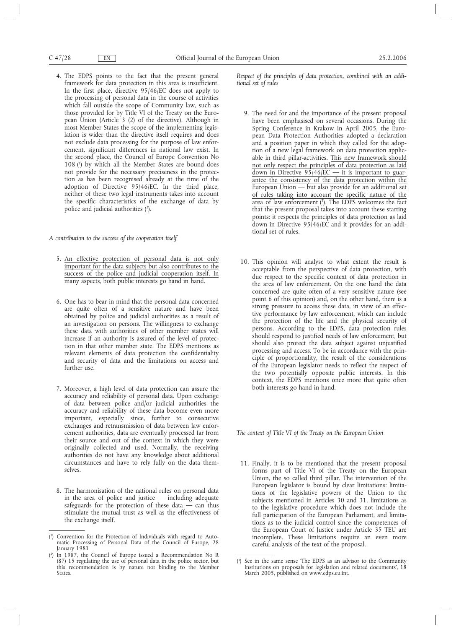4. The EDPS points to the fact that the present general framework for data protection in this area is insufficient. In the first place, directive 95/46/EC does not apply to the processing of personal data in the course of activities which fall outside the scope of Community law, such as those provided for by Title VI of the Treaty on the European Union (Article 3 (2) of the directive). Although in most Member States the scope of the implementing legislation is wider than the directive itself requires and does not exclude data processing for the purpose of law enforcement, significant differences in national law exist. In the second place, the Council of Europe Convention No 108 (1 ) by which all the Member States are bound does not provide for the necessary preciseness in the protection as has been recognised already at the time of the adoption of Directive 95/46/EC. In the third place, neither of these two legal instruments takes into account the specific characteristics of the exchange of data by police and judicial authorities  $(^{2})$ .

#### *A contribution to the success of the cooperation itself*

- 5. An effective protection of personal data is not only important for the data subjects but also contributes to the success of the police and judicial cooperation itself. In many aspects, both public interests go hand in hand.
- 6. One has to bear in mind that the personal data concerned are quite often of a sensitive nature and have been obtained by police and judicial authorities as a result of an investigation on persons. The willingness to exchange these data with authorities of other member states will increase if an authority is assured of the level of protection in that other member state. The EDPS mentions as relevant elements of data protection the confidentiality and security of data and the limitations on access and further use.
- 7. Moreover, a high level of data protection can assure the accuracy and reliability of personal data. Upon exchange of data between police and/or judicial authorities the accuracy and reliability of these data become even more important, especially since, further to consecutive exchanges and retransmission of data between law enforcement authorities, data are eventually processed far from their source and out of the context in which they were originally collected and used. Normally, the receiving authorities do not have any knowledge about additional circumstances and have to rely fully on the data themselves.
- 8. The harmonisation of the national rules on personal data in the area of police and justice  $-$  including adequate safeguards for the protection of these data  $-$  can thus stimulate the mutual trust as well as the effectiveness of the exchange itself.

*Respect of the principles of data protection, combined with an additional set of rules*

- 9. The need for and the importance of the present proposal have been emphasised on several occasions. During the Spring Conference in Krakow in April 2005, the European Data Protection Authorities adopted a declaration and a position paper in which they called for the adoption of a new legal framework on data protection applicable in third pillar-activities. This new framework should not only respect the principles of data protection as laid down in Directive  $95/46/EC$  — it is important to guarantee the consistency of the data protection within the European Union — but also provide for an additional set of rules taking into account the specific nature of the area of law enforcement  $(3)$ . The EDPS welcomes the fact that the present proposal takes into account these starting points: it respects the principles of data protection as laid down in Directive  $95/46$ /EC and it provides for an additional set of rules.
- 10. This opinion will analyse to what extent the result is acceptable from the perspective of data protection, with due respect to the specific context of data protection in the area of law enforcement. On the one hand the data concerned are quite often of a very sensitive nature (see point 6 of this opinion) and, on the other hand, there is a strong pressure to access these data, in view of an effective performance by law enforcement, which can include the protection of the life and the physical security of persons. According to the EDPS, data protection rules should respond to justified needs of law enforcement, but should also protect the data subject against unjustified processing and access. To be in accordance with the principle of proportionality, the result of the considerations of the European legislator needs to reflect the respect of the two potentially opposite public interests. In this context, the EDPS mentions once more that quite often both interests go hand in hand.

*The context of Title VI of the Treaty on the European Union*

11. Finally, it is to be mentioned that the present proposal forms part of Title VI of the Treaty on the European Union, the so called third pillar. The intervention of the European legislator is bound by clear limitations: limitations of the legislative powers of the Union to the subjects mentioned in Articles 30 and 31, limitations as to the legislative procedure which does not include the full participation of the European Parliament, and limitations as to the judicial control since the competences of the European Court of Justice under Article 35 TEU are incomplete. These limitations require an even more careful analysis of the text of the proposal.

<sup>(</sup> 1 ) Convention for the Protection of Individuals with regard to Automatic Processing of Personal Data of the Council of Europe, 28 January 1981

<sup>(</sup> 2 ) In 1987, the Council of Europe issued a Recommendation No R (87) 15 regulating the use of personal data in the police sector, but this recommendation is by nature not binding to the Member States.

<sup>(</sup> 3 ) See in the same sense 'The EDPS as an advisor to the Community Institutions on proposals for legislation and related documents', 18 March 2005, published on www.edps.eu.int.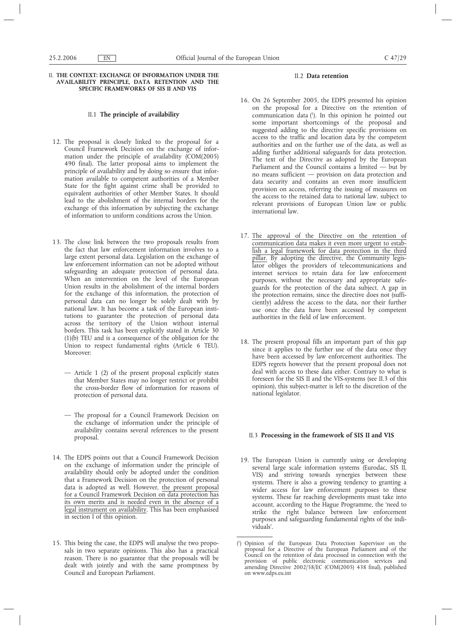#### II. **THE CONTEXT: EXCHANGE OF INFORMATION UNDER THE AVAILABILITY PRINCIPLE, DATA RETENTION AND THE SPECIFIC FRAMEWORKS OF SIS II AND VIS**

## II.1 **The principle of availability**

- 12. The proposal is closely linked to the proposal for a Council Framework Decision on the exchange of information under the principle of availability (COM(2005) 490 final). The latter proposal aims to implement the principle of availability and by doing so ensure that information available to competent authorities of a Member State for the fight against crime shall be provided to equivalent authorities of other Member States. It should lead to the abolishment of the internal borders for the exchange of this information by subjecting the exchange of information to uniform conditions across the Union.
- 13. The close link between the two proposals results from the fact that law enforcement information involves to a large extent personal data. Legislation on the exchange of law enforcement information can not be adopted without safeguarding an adequate protection of personal data. When an intervention on the level of the European Union results in the abolishment of the internal borders for the exchange of this information, the protection of personal data can no longer be solely dealt with by national law. It has become a task of the European institutions to guarantee the protection of personal data across the territory of the Union without internal borders. This task has been explicitly stated in Article 30 (1)(b) TEU and is a consequence of the obligation for the Union to respect fundamental rights (Article 6 TEU). Moreover:
	- Article 1 (2) of the present proposal explicitly states that Member States may no longer restrict or prohibit the cross-border flow of information for reasons of protection of personal data.
	- The proposal for a Council Framework Decision on the exchange of information under the principle of availability contains several references to the present proposal.
- 14. The EDPS points out that a Council Framework Decision on the exchange of information under the principle of availability should only be adopted under the condition that a Framework Decision on the protection of personal data is adopted as well. However, the present proposal for a Council Framework Decision on data protection has its own merits and is needed even in the absence of a legal instrument on availability. This has been emphasised in section I of this opinion.
- 15. This being the case, the EDPS will analyse the two proposals in two separate opinions. This also has a practical reason. There is no guarantee that the proposals will be dealt with jointly and with the same promptness by Council and European Parliament.

## II.2 **Data retention**

- 16. On 26 September 2005, the EDPS presented his opinion on the proposal for a Directive on the retention of communication data (1 ). In this opinion he pointed out some important shortcomings of the proposal and suggested adding to the directive specific provisions on access to the traffic and location data by the competent authorities and on the further use of the data, as well as adding further additional safeguards for data protection. The text of the Directive as adopted by the European Parliament and the Council contains a limited — but by no means sufficient — provision on data protection and data security and contains an even more insufficient provision on access, referring the issuing of measures on the access to the retained data to national law, subject to relevant provisions of European Union law or public international law.
- 17. The approval of the Directive on the retention of communication data makes it even more urgent to establish a legal framework for data protection in the third pillar. By adopting the directive, the Community legislator obliges the providers of telecommunications and internet services to retain data for law enforcement purposes, without the necessary and appropriate safeguards for the protection of the data subject. A gap in the protection remains, since the directive does not (sufficiently) address the access to the data, nor their further use once the data have been accessed by competent authorities in the field of law enforcement.
- 18. The present proposal fills an important part of this gap since it applies to the further use of the data once they have been accessed by law enforcement authorities. The EDPS regrets however that the present proposal does not deal with access to these data either. Contrary to what is foreseen for the SIS II and the VIS-systems (see II.3 of this opinion), this subject-matter is left to the discretion of the national legislator.

#### II.3 **Processing in the framework of SIS II and VIS**

19. The European Union is currently using or developing several large scale information systems (Eurodac, SIS II, VIS) and striving towards synergies between these systems. There is also a growing tendency to granting a wider access for law enforcement purposes to these systems. These far reaching developments must take into account, according to the Hague Programme, the 'need to strike the right balance between law enforcement purposes and safeguarding fundamental rights of the individuals'.

<sup>(</sup> 1 ) Opinion of the European Data Protection Supervisor on the proposal for a Directive of the European Parliament and of the Council on the retention of data processed in connection with the provision of public electronic communication services and amending Directive 2002/58/EC (COM(2005) 438 final), published on www.edps.eu.int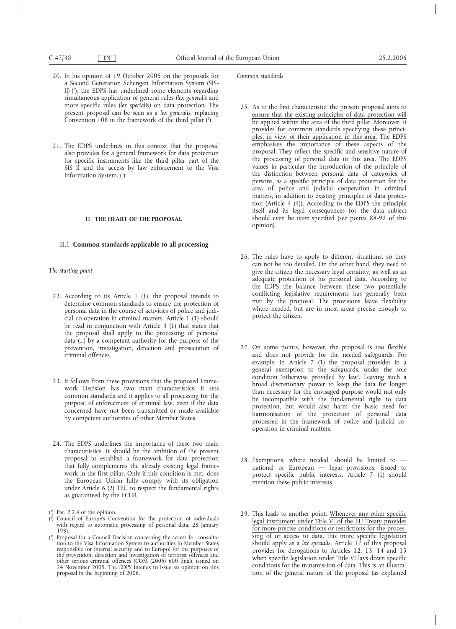- 20. In his opinion of 19 October 2005 on the proposals for a Second Generation Schengen Information System (SIS-II) (1), the EDPS has underlined some elements regarding simultaneous application of general rules (*lex generalis* and more specific rules (*lex specialis)* on data protection. The present proposal can be seen as a *lex generalis*, replacing Convention 108 in the framework of the third pillar (2).
- 21. The EDPS underlines in this context that the proposal also provides for a general framework for data protection for specific instruments like the third pillar part of the SIS II and the access by law enforcement to the Visa Information System. (3)

## III. **THE HEART OF THE PROPOSAL**

## III.1 **Common standards applicable to all processing**

*The starting point*

- 22. According to its Article 1 (1), the proposal intends to determine common standards to ensure the protection of personal data in the course of activities of police and judicial co-operation in criminal matters. Article 1 (1) should be read in conjunction with Article 3 (1) that states that the proposal shall apply to the processing of personal data (...) by a competent authority for the purpose of the prevention, investigation, detection and prosecution of criminal offences.
- 23. It follows from these provisions that the proposed Framework Decision has two main characteristics: it sets common standards and it applies to all processing for the purpose of enforcement of criminal law, even if the data concerned have not been transmitted or made available by competent authorities of other Member States.
- 24. The EDPS underlines the importance of these two main characteristics. It should be the ambition of the present proposal to establish a framework for data protection that fully complements the already existing legal framework in the first pillar. Only if this condition is met, does the European Union fully comply with its obligation under Article 6 (2) TEU to respect the fundamental rights as guaranteed by the ECHR.

*Common standards*

- 25. As to the first characteristic: the present proposal aims to ensure that the existing principles of data protection will be applied within the area of the third pillar. Moreover, it provides for common standards specifying these principles, in view of their application in this area. The EDPS emphasises the importance of these aspects of the proposal. They reflect the specific and sensitive nature of the processing of personal data in this area. The EDPS values in particular the introduction of the principle of the distinction between personal data of categories of persons, as a specific principle of data protection for the area of police and judicial cooperation in criminal matters, in addition to existing principles of data protection (Article 4 (4)). According to the EDPS the principle itself and its legal consequences for the data subject should even be *more* specified (see points 88-92 of this opinion).
- 26. The rules have to apply to different situations, so they can not be too detailed. On the other hand, they need to give the citizen the necessary legal certainty, as well as an adequate protection of his personal data. According to the EDPS the balance between these two potentially conflicting legislative requirements has generally been met by the proposal. The provisions leave flexibility where needed, but are in most areas precise enough to protect the citizen.
- 27. On some points, however, the proposal is too flexible and does not provide for the needed safeguards. For example, in Article 7 (1) the proposal provides in a general exemption to the safeguards, under the sole condition 'otherwise provided by law'. Leaving such a broad discretionary power to keep the data for longer than necessary for the envisaged purpose would not only be incompatible with the fundamental right to data protection, but would also harm the basic need for harmonisation of the protection of personal data processed in the framework of police and judicial cooperation in criminal matters.
- 28. Exemptions, where needed, should be limited to national or European — legal provisions, issued to protect specific public interests. Article 7 (1) should mention these public interests.
- 29. This leads to another point. Whenever any other specific legal instrument under Title VI of the EU Treaty provides for more precise conditions or restrictions for the processing of or access to data, this more specific legislation should apply as a *lex specialis*. Article 17 of this proposal provides for derogations to Articles 12, 13, 14 and 15 when specific legislation under Title VI lays down specific conditions for the transmission of data. This is an illustration of the general nature of the proposal (as explained

<sup>(</sup> 1 ) Par. 2.2.4 of the opinion.

<sup>(</sup> 2 ) Council of Europe's Convention for the protection of individuals with regard to automatic processing of personal data, 28 January 1981.

<sup>(</sup> 3 ) Proposal for a Council Decision concerning the access for consultation to the Visa Information System to authorities in Member States responsible for internal security and to Europol for the purposes of the prevention, detection and investigation of terrorist offences and other serious criminal offences (COM (2005) 600 final), issued on 24 November 2005. The EDPS intends to issue an opinion on this proposal in the beginning of 2006.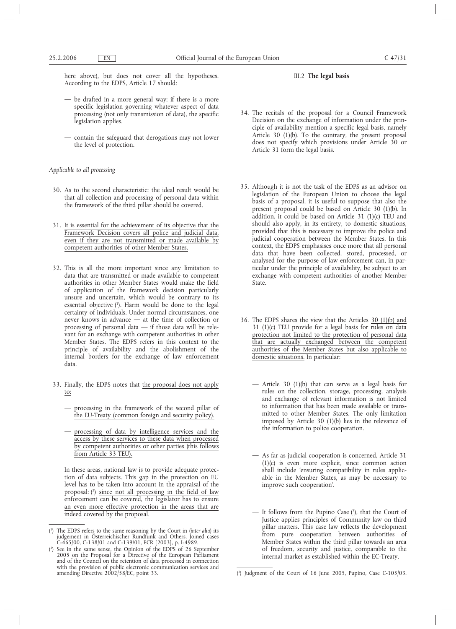here above), but does not cover all the hypotheses. According to the EDPS, Article 17 should:

- be drafted in a more general way: if there is a more specific legislation governing whatever aspect of data processing (not only transmission of data), the specific legislation applies.
- contain the safeguard that derogations may not lower the level of protection.

*Applicable to all processing*

- 30. As to the second characteristic: the ideal result would be that all collection and processing of personal data within the framework of the third pillar should be covered.
- 31. It is essential for the achievement of its objective that the Framework Decision covers all police and judicial data, even if they are not transmitted or made available by competent authorities of other Member States.
- 32. This is all the more important since any limitation to data that are transmitted or made available to competent authorities in other Member States would make the field of application of the framework decision particularly unsure and uncertain, which would be contrary to its essential objective (1 ). Harm would be done to the legal certainty of individuals. Under normal circumstances, one never knows in advance — at the time of collection or processing of personal data — if those data will be relevant for an exchange with competent authorities in other Member States. The EDPS refers in this context to the principle of availability and the abolishment of the internal borders for the exchange of law enforcement data.
- 33. Finally, the EDPS notes that the proposal does not apply to:
	- processing in the framework of the second pillar of the EU-Treaty (common foreign and security policy).
	- processing of data by intelligence services and the access by these services to these data when processed by competent authorities or other parties (this follows from Article 33 TEU).

In these areas, national law is to provide adequate protection of data subjects. This gap in the protection on EU level has to be taken into account in the appraisal of the proposal: (2) since not all processing in the field of law enforcement can be covered, the legislator has to ensure an even more effective protection in the areas that are indeed covered by the proposal.

## III.2 **The legal basis**

- 34. The recitals of the proposal for a Council Framework Decision on the exchange of information under the principle of availability mention a specific legal basis, namely Article 30 (1)(b). To the contrary, the present proposal does not specify which provisions under Article 30 or Article 31 form the legal basis.
- 35. Although it is not the task of the EDPS as an advisor on legislation of the European Union to choose the legal basis of a proposal, it is useful to suppose that also the present proposal could be based on Article 30 (1)(b). In addition, it could be based on Article 31 (1)(c) TEU and should also apply, in its entirety, to domestic situations, provided that this is necessary to improve the police and judicial cooperation between the Member States. In this context, the EDPS emphasises once more that all personal data that have been collected, stored, processed, or analysed for the purpose of law enforcement can, in particular under the principle of availability, be subject to an exchange with competent authorities of another Member State.
- 36. The EDPS shares the view that the Articles 30 (1)(b) and 31 (1)(c) TEU provide for a legal basis for rules on data protection not limited to the protection of personal data that are actually exchanged between the competent authorities of the Member States but also applicable to domestic situations. In particular:
	- Article 30 (1)(b) that can serve as a legal basis for rules on the collection, storage, processing, analysis and exchange of relevant information is not limited to information that has been made available or transmitted to other Member States. The only limitation imposed by Article 30 (1)(b) lies in the relevance of the information to police cooperation.
	- As far as judicial cooperation is concerned, Article 31 (1)(c) is even more explicit, since common action shall include 'ensuring compatibility in rules applicable in the Member States, as may be necessary to improve such cooperation'.
	- It follows from the Pupino Case (3 ), that the Court of Justice applies principles of Community law on third pillar matters. This case law reflects the development from pure cooperation between authorities of Member States within the third pillar towards an area of freedom, security and justice, comparable to the internal market as established within the EC-Treaty.

<sup>(</sup> 1 ) The EDPS refers to the same reasoning by the Court in (*inter alia*) its judgement in Österreichischer Rundfunk and Others, Joined cases C-465/00, C-138/01 and C-139/01, ECR [2003], p. I-4989.

<sup>(</sup> 2 ) See in the same sense, the Opinion of the EDPS of 26 September 2005 on the Proposal for a Directive of the European Parliament and of the Council on the retention of data processed in connection with the provision of public electronic communication services and amending Directive 2002/58/EC, point 33.

<sup>3</sup> ) Judgment of the Court of 16 June 2005, Pupino, Case C-105/03.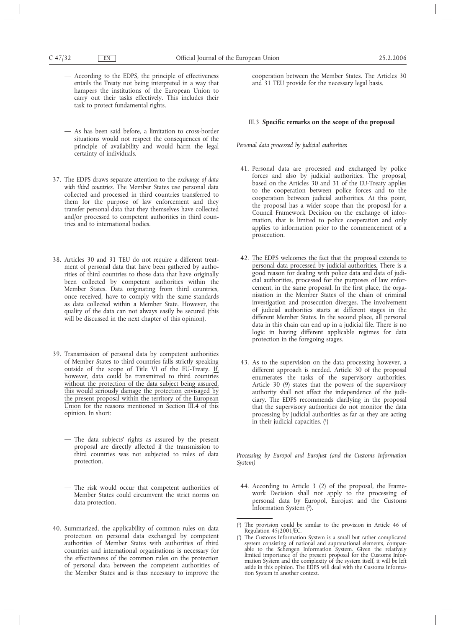- According to the EDPS, the principle of effectiveness entails the Treaty not being interpreted in a way that hampers the institutions of the European Union to carry out their tasks effectively. This includes their task to protect fundamental rights.
- As has been said before, a limitation to cross-border situations would not respect the consequences of the principle of availability and would harm the legal certainty of individuals.
- 37. The EDPS draws separate attention to the *exchange of data with third countries*. The Member States use personal data collected and processed in third countries transferred to them for the purpose of law enforcement and they transfer personal data that they themselves have collected and/or processed to competent authorities in third countries and to international bodies.
- 38. Articles 30 and 31 TEU do not require a different treatment of personal data that have been gathered by authorities of third countries to those data that have originally been collected by competent authorities within the Member States. Data originating from third countries, once received, have to comply with the same standards as data collected within a Member State. However, the quality of the data can not always easily be secured (this will be discussed in the next chapter of this opinion).
- 39. Transmission of personal data by competent authorities of Member States to third countries falls strictly speaking outside of the scope of Title VI of the EU-Treaty. If, however, data could be transmitted to third countries without the protection of the data subject being assured, this would seriously damage the protection envisaged by the present proposal within the territory of the European Union for the reasons mentioned in Section III.4 of this opinion. In short:
	- The data subjects' rights as assured by the present proposal are directly affected if the transmission to third countries was not subjected to rules of data protection.
	- The risk would occur that competent authorities of Member States could circumvent the strict norms on data protection.
- 40. Summarized, the applicability of common rules on data protection on personal data exchanged by competent authorities of Member States with authorities of third countries and international organisations is necessary for the effectiveness of the common rules on the protection of personal data between the competent authorities of the Member States and is thus necessary to improve the

cooperation between the Member States. The Articles 30 and 31 TEU provide for the necessary legal basis.

## III.3 **Specific remarks on the scope of the proposal**

*Personal data processed by judicial authorities*

- 41. Personal data are processed and exchanged by police forces and also by judicial authorities. The proposal, based on the Articles 30 and 31 of the EU-Treaty applies to the cooperation between police forces and to the cooperation between judicial authorities. At this point, the proposal has a wider scope than the proposal for a Council Framework Decision on the exchange of information, that is limited to police cooperation and only applies to information prior to the commencement of a prosecution.
- 42. The EDPS welcomes the fact that the proposal extends to personal data processed by judicial authorities. There is a good reason for dealing with police data and data of judicial authorities, processed for the purposes of law enforcement, in the same proposal. In the first place, the organisation in the Member States of the chain of criminal investigation and prosecution diverges. The involvement of judicial authorities starts at different stages in the different Member States. In the second place, all personal data in this chain can end up in a judicial file. There is no logic in having different applicable regimes for data protection in the foregoing stages.
- 43. As to the supervision on the data processing however, a different approach is needed. Article 30 of the proposal enumerates the tasks of the supervisory authorities. Article 30 (9) states that the powers of the supervisory authority shall not affect the independence of the judiciary. The EDPS recommends clarifying in the proposal that the supervisory authorities do not monitor the data processing by judicial authorities as far as they are acting in their judicial capacities. (1)

*Processing by Europol and Eurojust (and the Customs Information System)*

44. According to Article 3 (2) of the proposal, the Framework Decision shall not apply to the processing of personal data by Europol, Eurojust and the Customs Information System (2 ).

<sup>(</sup> 1 ) The provision could be similar to the provision in Article 46 of Regulation 45/2001/EC.

<sup>(</sup> 2 ) The Customs Information System is a small but rather complicated system consisting of national and supranational elements, comparable to the Schengen Information System. Given the relatively limited importance of the present proposal for the Customs Information System and the complexity of the system itself, it will be left aside in this opinion. The EDPS will deal with the Customs Information System in another context.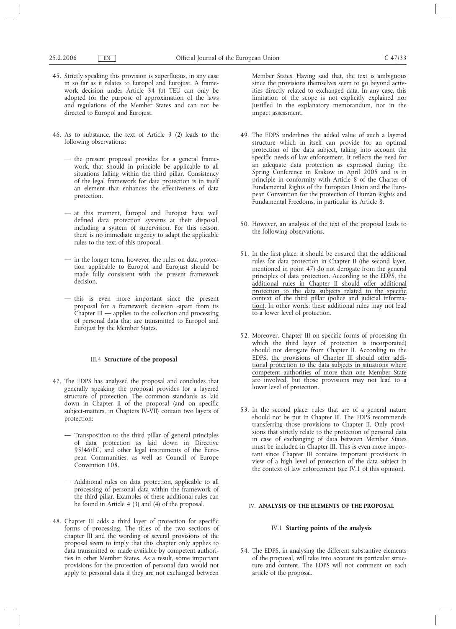- 45. Strictly speaking this provision is superfluous, in any case in so far as it relates to Europol and Eurojust. A framework decision under Article 34 (b) TEU can only be adopted for the purpose of approximation of the laws and regulations of the Member States and can not be directed to Europol and Eurojust.
- 46. As to substance, the text of Article 3 (2) leads to the following observations:
	- the present proposal provides for a general framework, that should in principle be applicable to all situations falling within the third pillar. Consistency of the legal framework for data protection is in itself an element that enhances the effectiveness of data protection.
	- at this moment, Europol and Eurojust have well defined data protection systems at their disposal, including a system of supervision. For this reason, there is no immediate urgency to adapt the applicable rules to the text of this proposal.
	- in the longer term, however, the rules on data protection applicable to Europol and Eurojust should be made fully consistent with the present framework decision.
	- this is even more important since the present proposal for a framework decision -apart from its Chapter III — applies to the collection and processing of personal data that are transmitted to Europol and Eurojust by the Member States.

# III.4 **Structure of the proposal**

- 47. The EDPS has analysed the proposal and concludes that generally speaking the proposal provides for a layered structure of protection. The common standards as laid down in Chapter II of the proposal (and on specific subject-matters, in Chapters IV-VII) contain two layers of protection:
	- Transposition to the third pillar of general principles of data protection as laid down in Directive 95/46/EC, and other legal instruments of the European Communities, as well as Council of Europe Convention 108.
	- Additional rules on data protection, applicable to all processing of personal data within the framework of the third pillar. Examples of these additional rules can be found in Article 4 (3) and (4) of the proposal.
- 48. Chapter III adds a third layer of protection for specific forms of processing. The titles of the two sections of chapter III and the wording of several provisions of the proposal seem to imply that this chapter only applies to data transmitted or made available by competent authorities in other Member States. As a result, some important provisions for the protection of personal data would not apply to personal data if they are not exchanged between

Member States. Having said that, the text is ambiguous since the provisions themselves seem to go beyond activities directly related to exchanged data. In any case, this limitation of the scope is not explicitly explained nor justified in the explanatory memorandum, nor in the impact assessment.

- 49. The EDPS underlines the added value of such a layered structure which in itself can provide for an optimal protection of the data subject, taking into account the specific needs of law enforcement. It reflects the need for an adequate data protection as expressed during the Spring Conference in Krakow in April 2005 and is in principle in conformity with Article 8 of the Charter of Fundamental Rights of the European Union and the European Convention for the protection of Human Rights and Fundamental Freedoms, in particular its Article 8.
- 50. However, an analysis of the text of the proposal leads to the following observations.
- 51. In the first place: it should be ensured that the additional rules for data protection in Chapter II (the second layer, mentioned in point 47) do not derogate from the general principles of data protection. According to the EDPS, the additional rules in Chapter II should offer additional protection to the data subjects related to the specific context of the third pillar (police and judicial information). In other words: these additional rules may not lead to a lower level of protection.
- 52. Moreover, Chapter III on specific forms of processing (in which the third layer of protection is incorporated) should not derogate from Chapter II. According to the EDPS, the provisions of Chapter III should offer additional protection to the data subjects in situations where competent authorities of more than one Member State are involved, but those provisions may not lead to a lower level of protection.
- 53. In the second place: rules that are of a general nature should not be put in Chapter III. The EDPS recommends transferring those provisions to Chapter II. Only provisions that strictly relate to the protection of personal data in case of exchanging of data between Member States must be included in Chapter III. This is even more important since Chapter III contains important provisions in view of a high level of protection of the data subject in the context of law enforcement (see IV.1 of this opinion).

# IV. **ANALYSIS OF THE ELEMENTS OF THE PROPOSAL**

## IV.1 **Starting points of the analysis**

54. The EDPS, in analysing the different substantive elements of the proposal, will take into account its particular structure and content. The EDPS will not comment on each article of the proposal.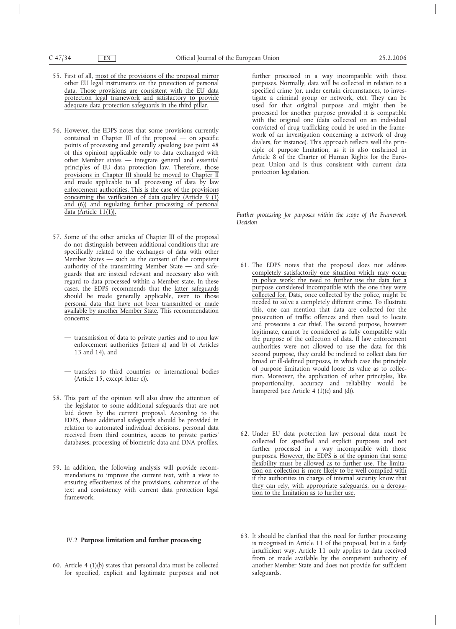- 55. First of all, most of the provisions of the proposal mirror other EU legal instruments on the protection of personal data. Those provisions are consistent with the EU data protection legal framework and satisfactory to provide adequate data protection safeguards in the third pillar.
- 56. However, the EDPS notes that some provisions currently contained in Chapter III of the proposal — on specific points of processing and generally speaking (see point 48 of this opinion) applicable only to data exchanged with other Member states — integrate general and essential principles of EU data protection law. Therefore, those provisions in Chapter III should be moved to Chapter II and made applicable to all processing of data by law enforcement authorities. This is the case of the provisions concerning the verification of data quality (Article  $9(1)$ and (6)) and regulating further processing of personal data (Article 11(1)).
- 57. Some of the other articles of Chapter III of the proposal do not distinguish between additional conditions that are specifically related to the exchanges of data with other Member States — such as the consent of the competent authority of the transmitting Member State — and safeguards that are instead relevant and necessary also with regard to data processed within a Member state. In these cases, the EDPS recommends that the latter safeguards should be made generally applicable, even to those personal data that have not been transmitted or made available by another Member State. This recommendation concerns:
	- transmission of data to private parties and to non law enforcement authorities (letters a) and b) of Articles 13 and 14), and
	- transfers to third countries or international bodies (Article 15, except letter c)).
- 58. This part of the opinion will also draw the attention of the legislator to some additional safeguards that are not laid down by the current proposal. According to the EDPS, these additional safeguards should be provided in relation to automated individual decisions, personal data received from third countries, access to private parties' databases, processing of biometric data and DNA profiles.
- 59. In addition, the following analysis will provide recommendations to improve the current text, with a view to ensuring effectiveness of the provisions, coherence of the text and consistency with current data protection legal framework.

further processed in a way incompatible with those purposes. Normally, data will be collected in relation to a specified crime (or, under certain circumstances, to investigate a criminal group or network, etc). They can be used for that original purpose and might then be processed for another purpose provided it is compatible with the original one (data collected on an individual convicted of drug trafficking could be used in the framework of an investigation concerning a network of drug dealers, for instance). This approach reflects well the principle of purpose limitation, as it is also enshrined in Article 8 of the Charter of Human Rights for the European Union and is thus consistent with current data protection legislation.

*Further processing for purposes within the scope of the Framework Decision*

- 61. The EDPS notes that the proposal does not address completely satisfactorily one situation which may occur in police work: the need to further use the data for a purpose considered incompatible with the one they were collected for. Data, once collected by the police, might be needed to solve a completely different crime. To illustrate this, one can mention that data are collected for the prosecution of traffic offences and then used to locate and prosecute a car thief. The second purpose, however legitimate, cannot be considered as fully compatible with the purpose of the collection of data. If law enforcement authorities were not allowed to use the data for this second purpose, they could be inclined to collect data for broad or ill-defined purposes, in which case the principle of purpose limitation would loose its value as to collection. Moreover, the application of other principles, like proportionality, accuracy and reliability would be hampered (see Article 4 (1)(c) and (d)).
- 62. Under EU data protection law personal data must be collected for specified and explicit purposes and not further processed in a way incompatible with those purposes. However, the EDPS is of the opinion that some flexibility must be allowed as to further use. The limitation on collection is more likely to be well complied with if the authorities in charge of internal security know that they can rely, with appropriate safeguards, on a derogation to the limitation as to further use.
- IV.2 **Purpose limitation and further processing**
- 60. Article 4 (1)(b) states that personal data must be collected for specified, explicit and legitimate purposes and not
- 63. It should be clarified that this need for further processing is recognised in Article 11 of the proposal, but in a fairly insufficient way. Article 11 only applies to data received from or made available by the competent authority of another Member State and does not provide for sufficient safeguards.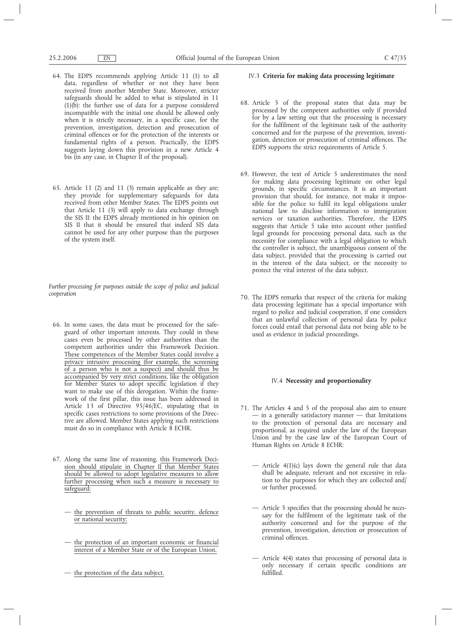- 64. The EDPS recommends applying Article 11 (1) to all data, regardless of whether or not they have been received from another Member State. Moreover, stricter safeguards should be added to what is stipulated in 11 (1)(b): the further use of data for a purpose considered incompatible with the initial one should be allowed only when it is strictly necessary, in a specific case, for the prevention, investigation, detection and prosecution of criminal offences or for the protection of the interests or fundamental rights of a person. Practically, the EDPS suggests laying down this provision in a new Article 4 bis (in any case, in Chapter II of the proposal).
- 65. Article 11 (2) and 11 (3) remain applicable as they are; they provide for supplementary safeguards for data received from other Member States. The EDPS points out that Article 11 (3) will apply to data exchange through the SIS II: the EDPS already mentioned in his opinion on SIS II that it should be ensured that indeed SIS data cannot be used for any other purpose than the purposes of the system itself.

*Further processing for purposes outside the scope of police and judicial cooperation*

- 66. In some cases, the data must be processed for the safeguard of other important interests. They could in these cases even be processed by other authorities than the competent authorities under this Framework Decision. These competences of the Member States could involve a privacy intrusive processing (for example, the screening of a person who is not a suspect) and should thus be accompanied by very strict conditions, like the obligation for Member States to adopt specific legislation if they want to make use of this derogation. Within the framework of the first pillar, this issue has been addressed in Article 13 of Directive 95/46/EC, stipulating that in specific cases restrictions to some provisions of the Directive are allowed. Member States applying such restrictions must do so in compliance with Article 8 ECHR.
- 67. Along the same line of reasoning, this Framework Decision should stipulate in Chapter II that Member States should be allowed to adopt legislative measures to allow further processing when such a measure is necessary to safeguard:
	- the prevention of threats to public security, defence or national security;
	- the protection of an important economic or financial interest of a Member State or of the European Union.
	- the protection of the data subject.

## IV.3 **Criteria for making data processing legitimate**

- 68. Article 5 of the proposal states that data may be processed by the competent authorities only if provided for by a law setting out that the processing is necessary for the fulfilment of the legitimate task of the authority concerned and for the purpose of the prevention, investigation, detection or prosecution of criminal offences. The EDPS supports the strict requirements of Article 5.
- 69. However, the text of Article 5 underestimates the need for making data processing legitimate on other legal grounds, in specific circumstances. It is an important provision that should, for instance, not make it impossible for the police to fulfil its legal obligations under national law to disclose information to immigration services or taxation authorities. Therefore, the EDPS suggests that Article 5 take into account other justified legal grounds for processing personal data, such as the necessity for compliance with a legal obligation to which the controller is subject, the unambiguous consent of the data subject, provided that the processing is carried out in the interest of the data subject, or the necessity to protect the vital interest of the data subject.
- 70. The EDPS remarks that respect of the criteria for making data processing legitimate has a special importance with regard to police and judicial cooperation, if one considers that an unlawful collection of personal data by police forces could entail that personal data not being able to be used as evidence in judicial proceedings.

#### IV.4 **Necessity and proportionality**

- 71. The Articles 4 and 5 of the proposal also aim to ensure — in a generally satisfactory manner — that limitations to the protection of personal data are necessary and proportional, as required under the law of the European Union and by the case law of the European Court of Human Rights on Article 8 ECHR:
	- $-$  Article 4(1)(c) lays down the general rule that data shall be adequate, relevant and not excessive in relation to the purposes for which they are collected and/ or further processed.
	- Article 5 specifies that the processing should be *necessary* for the fulfilment of the legitimate task of the authority concerned and for the purpose of the prevention, investigation, detection or prosecution of criminal offences.
	- Article 4(4) states that processing of personal data is only necessary if certain specific conditions are fulfilled.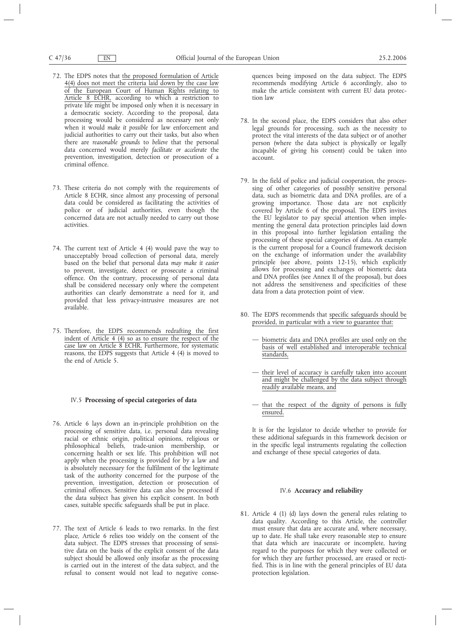- 72. The EDPS notes that the proposed formulation of Article 4(4) does not meet the criteria laid down by the case law of the European Court of Human Rights relating to Article 8 ECHR, according to which a restriction to private life might be imposed only when it is necessary in a democratic society. According to the proposal, data processing would be considered as necessary not only when it would *make it possible* for law enforcement and judicial authorities to carry out their tasks, but also when there are *reasonable grounds* to *believe* that the personal data concerned would merely *facilitate or accelerate* the prevention, investigation, detection or prosecution of a criminal offence.
- 73. These criteria do not comply with the requirements of Article 8 ECHR, since almost any processing of personal data could be considered as facilitating the activities of police or of judicial authorities, even though the concerned data are not actually needed to carry out those activities.
- 74. The current text of Article 4 (4) would pave the way to unacceptably broad collection of personal data, merely based on the belief that personal data *may make it easier* to prevent, investigate, detect or prosecute a criminal offence. On the contrary, processing of personal data shall be considered necessary only where the competent authorities can clearly demonstrate a need for it, and provided that less privacy-intrusive measures are not available.
- 75. Therefore, the EDPS recommends redrafting the first indent of Article 4 (4) so as to ensure the respect of the case law on Article 8 ECHR. Furthermore, for systematic reasons, the EDPS suggests that Article 4 (4) is moved to the end of Article 5.

## IV.5 **Processing of special categories of data**

- 76. Article 6 lays down an in-principle prohibition on the processing of sensitive data, i.e. personal data revealing racial or ethnic origin, political opinions, religious or philosophical beliefs, trade-union membership, or concerning health or sex life. This prohibition will not apply when the processing is provided for by a law and is absolutely necessary for the fulfilment of the legitimate task of the authority concerned for the purpose of the prevention, investigation, detection or prosecution of criminal offences. Sensitive data can also be processed if the data subject has given his explicit consent. In both cases, suitable specific safeguards shall be put in place.
- 77. The text of Article 6 leads to two remarks. In the first place, Article 6 relies too widely on the consent of the data subject. The EDPS stresses that processing of sensitive data on the basis of the explicit consent of the data subject should be allowed only insofar as the processing is carried out in the interest of the data subject, and the refusal to consent would not lead to negative conse-

quences being imposed on the data subject. The EDPS recommends modifying Article 6 accordingly, also to make the article consistent with current EU data protection law

- 78. In the second place, the EDPS considers that also other legal grounds for processing, such as the necessity to protect the vital interests of the data subject or of another person (where the data subject is physically or legally incapable of giving his consent) could be taken into account.
- 79. In the field of police and judicial cooperation, the processing of other categories of possibly sensitive personal data, such as biometric data and DNA profiles, are of a growing importance. Those data are not explicitly covered by Article 6 of the proposal. The EDPS invites the EU legislator to pay special attention when implementing the general data protection principles laid down in this proposal into further legislation entailing the processing of these special categories of data. An example is the current proposal for a Council framework decision on the exchange of information under the availability principle (see above, points 12-15), which explicitly allows for processing and exchanges of biometric data and DNA profiles (see Annex II of the proposal), but does not address the sensitiveness and specificities of these data from a data protection point of view.
- 80. The EDPS recommends that specific safeguards should be provided, in particular with a view to guarantee that:
	- biometric data and DNA profiles are used only on the basis of well established and interoperable technical standards,
	- their level of accuracy is carefully taken into account and might be challenged by the data subject through readily available means, and
	- that the respect of the dignity of persons is fully ensured.

It is for the legislator to decide whether to provide for these additional safeguards in this framework decision or in the specific legal instruments regulating the collection and exchange of these special categories of data.

# IV.6 **Accuracy and reliability**

81. Article 4 (1) (d) lays down the general rules relating to data quality. According to this Article, the controller must ensure that data are accurate and, where necessary, up to date. He shall take every reasonable step to ensure that data which are inaccurate or incomplete, having regard to the purposes for which they were collected or for which they are further processed, are erased or rectified. This is in line with the general principles of EU data protection legislation.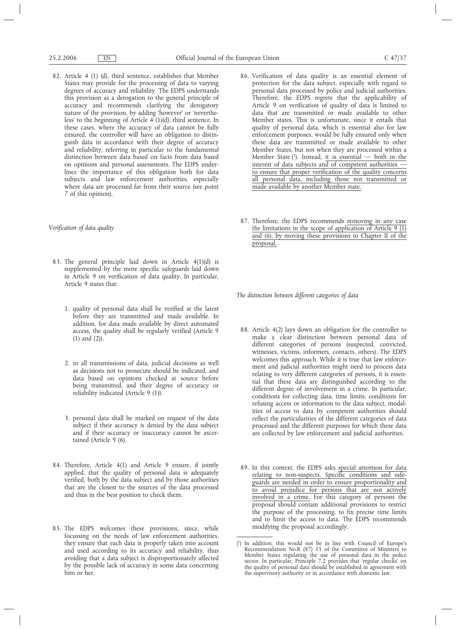82. Article 4 (1) (d), third sentence, establishes that Member States may provide for the processing of data to varying degrees of accuracy and reliability. The EDPS understands this provision as a derogation to the general principle of accuracy and recommends clarifying the derogatory nature of the provision, by adding 'however' or 'nevertheless' to the beginning of Article  $4(1)(d)$ , third sentence. In these cases, where the accuracy of data cannot be fully ensured, the controller will have an obligation to distinguish data in accordance with their degree of accuracy and reliability, referring in particular to the fundamental distinction between data based on facts from data based on opinions and personal assessments. The EDPS underlines the importance of this obligation both for data subjects and law enforcement authorities, especially where data are processed far from their source (see point 7 of this opinion).

## *Verification of data quality*

- 83. The general principle laid down in Article 4(1)(d) is supplemented by the more specific safeguards laid down in Article 9 on verification of data quality. In particular, Article 9 states that:
	- 1. quality of personal data shall be verified at the latest before they are transmitted and made available. In addition, for data made available by direct automated access, the quality shall be regularly verified (Article 9 (1) and (2)).
	- 2. in all transmissions of data, judicial decisions as well as decisions not to prosecute should be indicated, and data based on opinions checked at source before being transmitted, and their degree of accuracy or reliability indicated (Article 9 (1)).
	- 3. personal data shall be marked on request of the data subject if their accuracy is denied by the data subject and if their accuracy or inaccuracy cannot be ascertained (Article 9 (6).
- 84. Therefore, Article 4(1) and Article 9 ensure, if jointly applied, that the quality of personal data is adequately verified, both by the data subject and by those authorities that are the closest to the sources of the data processed and thus in the best position to check them.
- 85. The EDPS welcomes these provisions, since, while focussing on the needs of law enforcement authorities, they ensure that each data is properly taken into account and used according to its accuracy and reliability, thus avoiding that a data subject is disproportionately affected by the possible lack of accuracy in some data concerning him or her.
- 86. Verification of data quality is an essential element of protection for the data subject, especially with regard to personal data processed by police and judicial authorities. Therefore, the EDPS regrets that the applicability of Article 9 on verification of quality of data is limited to data that are transmitted or made available to other Member states. This is unfortunate, since it entails that quality of personal data, which is essential also for law enforcement purposes, would be fully ensured only when these data are transmitted or made available to other Member States, but not when they are processed within a Member State (1). Instead, it is essential — both in the interest of data subjects and of competent authorities to ensure that proper verification of the quality concerns all personal data, including those not transmitted or made available by another Member state.
- 87. Therefore, the EDPS recommends removing in any case the limitations in the scope of application of Article  $9(1)$ and (6), by moving these provisions to Chapter II of the proposal.

*The distinction between different categories of data*

- 88. Article 4(2) lays down an obligation for the controller to make a clear distinction between personal data of different categories of persons (suspected, convicted, witnesses, victims, informers, contacts, others). The EDPS welcomes this approach. While it is true that law enforcement and judicial authorities might need to process data relating to very different categories of persons, it is essential that these data are distinguished according to the different degree of involvement in a crime. In particular, conditions for collecting data, time limits, conditions for refusing access or information to the data subject, modalities of access to data by competent authorities should reflect the particularities of the different categories of data processed and the different purposes for which these data are collected by law enforcement and judicial authorities.
- 89. In this context, the EDPS asks special attention for data relating to non-suspects. Specific conditions and safeguards are needed in order to ensure proportionality and to avoid prejudice for persons that are not actively involved in a crime. For this category of persons the proposal should contain additional provisions to restrict the purpose of the processing, to fix precise time limits and to limit the access to data. The EDPS recommends modifying the proposal accordingly.

<sup>(</sup> 1 ) In addition, this would not be in line with Council of Europe's Recommendation No.R (87) 15 of the Committee of Ministers to Member States regulating the use of personal data in the police sector. In particular, Principle 7.2 provides that 'regular checks' on the quality of personal data should be established in agreement with the supervisory authority or in accordance with domestic law.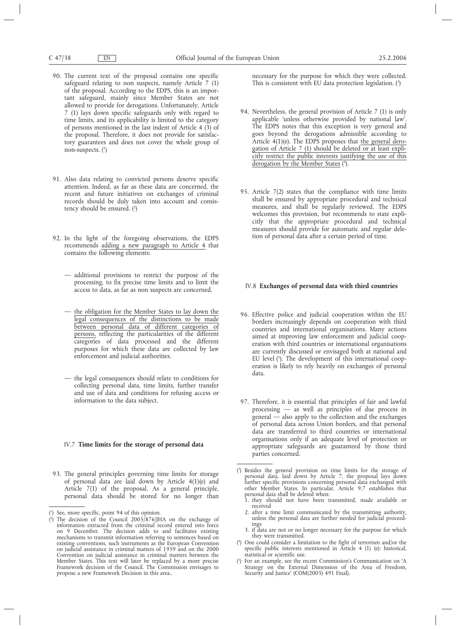- 90. The current text of the proposal contains one specific safeguard relating to non suspects, namely Article 7 (1) of the proposal. According to the EDPS, this is an important safeguard, mainly since Member States are not allowed to provide for derogations. Unfortunately, Article 7 (1) lays down specific safeguards only with regard to time limits, and its applicability is limited to the category of persons mentioned in the last indent of Article 4 (3) of the proposal. Therefore, it does not provide for satisfactory guarantees and does not cover the whole group of non-suspects. (1)
- 91. Also data relating to convicted persons deserve specific attention. Indeed, as far as these data are concerned, the recent and future initiatives on exchanges of criminal records should be duly taken into account and consistency should be ensured. (2)
- 92. In the light of the foregoing observations, the EDPS recommends adding a new paragraph to Article 4 that contains the following elements:
	- additional provisions to restrict the purpose of the processing, to fix precise time limits and to limit the access to data, as far as non suspects are concerned.
	- the obligation for the Member States to lay down the legal consequences of the distinctions to be made between personal data of different categories of persons, reflecting the particularities of the different categories of data processed and the different purposes for which these data are collected by law enforcement and judicial authorities.
	- the legal consequences should relate to conditions for collecting personal data, time limits, further transfer and use of data and conditions for refusing access or information to the data subject.

# IV.7 **Time limits for the storage of personal data**

93. The general principles governing time limits for storage of personal data are laid down by Article 4(1)(e) and Article 7(1) of the proposal. As a general principle, personal data should be stored for no longer than necessary for the purpose for which they were collected. This is consistent with EU data protection legislation. (3)

- 94. Nevertheless, the general provision of Article 7 (1) is only applicable 'unless otherwise provided by national law'. The EDPS notes that this exception is very general and goes beyond the derogations admissible according to Article  $4(1)(e)$ . The EDPS proposes that the general derogation of Article 7 (1) should be deleted or at least explicitly restrict the public interests justifying the use of this derogation by the Member States (4).
- 95. Article 7(2) states that the compliance with time limits shall be ensured by appropriate procedural and technical measures, and shall be regularly reviewed. The EDPS welcomes this provision, but recommends to state explicitly that the appropriate procedural and technical measures should provide for automatic and regular deletion of personal data after a certain period of time.

# IV.8 **Exchanges of personal data with third countries**

- 96. Effective police and judicial cooperation within the EU borders increasingly depends on cooperation with third countries and international organisations. Many actions aimed at improving law enforcement and judicial cooperation with third countries or international organisations are currently discussed or envisaged both at national and EU level  $(5)$ . The development of this international cooperation is likely to rely heavily on exchanges of personal data.
- 97. Therefore, it is essential that principles of fair and lawful processing — as well as principles of due process in general — also apply to the collection and the exchanges of personal data across Union borders, and that personal data are transferred to third countries or international organisations only if an adequate level of protection or appropriate safeguards are guaranteed by those third parties concerned.

- 1. they should not have been transmitted, made available or received
- 2. after a time limit communicated by the transmitting authority, unless the personal data are further needed for judicial proceedings 3. if data are not or no longer necessary for the purpose for which
- they were transmitted.
- ( 4 ) One could consider a limitation to the fight of terrorism and/or the specific public interests mentioned in Article 4 (1) (e): historical, statistical or scientific use.
- ( 5 ) For an example, see the recent Commission's Communication on 'A Strategy on the External Dimension of the Area of Freedom, Security and Justice' (COM(2005) 491 Final).

<sup>(</sup> 1 ) See, more specific, point 94 of this opinion.

<sup>(</sup> 2 ) The decision of the Council 2005/876/JHA on the exchange of information extracted from the criminal record entered into force on 9 December. The decision adds to and facilitates existing mechanisms to transmit information referring to sentences based on existing conventions, such instruments as the European Convention on judicial assistance in criminal matters of 1959 and on the 2000 Convention on judicial assistance in criminal matters between the Member States. This text will later be replaced by a more precise Framework decision of the Council. The Commission envisages to propose a new Framework Decision in this area..

<sup>(</sup> 3 ) Besides the general provision on time limits for the storage of personal data, laid down by Article 7, the proposal lays down further specific provisions concerning personal data exchanged with other Member States. In particular, Article 9.7 establishes that personal data shall be deleted when: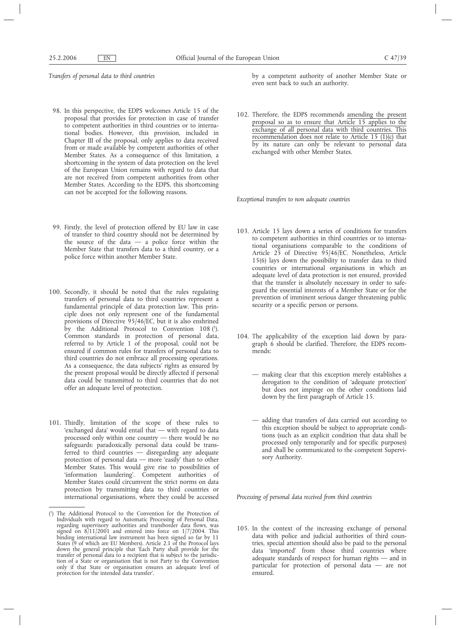*Transfers of personal data to third countries*

- 98. In this perspective, the EDPS welcomes Article 15 of the proposal that provides for protection in case of transfer to competent authorities in third countries or to international bodies. However, this provision, included in Chapter III of the proposal, only applies to data received from or made available by competent authorities of other Member States. As a consequence of this limitation, a shortcoming in the system of data protection on the level of the European Union remains with regard to data that are not received from competent authorities from other Member States. According to the EDPS, this shortcoming can not be accepted for the following reasons.
- 99. Firstly, the level of protection offered by EU law in case of transfer to third country should not be determined by the source of the data  $-$  a police force within the Member State that transfers data to a third country, or a police force within another Member State.
- 100. Secondly, it should be noted that the rules regulating transfers of personal data to third countries represent a fundamental principle of data protection law. This principle does not only represent one of the fundamental provisions of Directive 95/46/EC, but it is also enshrined by the Additional Protocol to Convention 108 (1). Common standards in protection of personal data, referred to by Article 1 of the proposal, could not be ensured if common rules for transfers of personal data to third countries do not embrace all processing operations. As a consequence, the data subjects' rights as ensured by the present proposal would be directly affected if personal data could be transmitted to third countries that do not offer an adequate level of protection.
- 101. Thirdly, limitation of the scope of these rules to 'exchanged data' would entail that — with regard to data processed only within one country — there would be no safeguards: paradoxically personal data could be transferred to third countries — disregarding any adequate protection of personal data — more 'easily' than to other Member States. This would give rise to possibilities of 'information laundering'. Competent authorities of Member States could circumvent the strict norms on data protection by transmitting data to third countries or international organisations, where they could be accessed

by a competent authority of another Member State or even sent back to such an authority.

102. Therefore, the EDPS recommends amending the present proposal so as to ensure that Article 15 applies to the exchange of *all* personal data with third countries. This recommendation does not relate to Article 15 (1)(c) that by its nature can only be relevant to personal data exchanged with other Member States.

*Exceptional transfers to non adequate countries*

- 103. Article 15 lays down a series of conditions for transfers to competent authorities in third countries or to international organisations comparable to the conditions of Article 25 of Directive 95/46/EC. Nonetheless, Article 15(6) lays down the possibility to transfer data to third countries or international organisations in which an adequate level of data protection is not ensured, provided that the transfer is absolutely necessary in order to safeguard the essential interests of a Member State or for the prevention of imminent serious danger threatening public security or a specific person or persons.
- 104. The applicability of the exception laid down by paragraph 6 should be clarified. Therefore, the EDPS recommends:
	- making clear that this exception merely establishes a derogation to the condition of 'adequate protection' but does not impinge on the other conditions laid down by the first paragraph of Article 15.
	- adding that transfers of data carried out according to this exception should be subject to appropriate conditions (such as an explicit condition that data shall be processed only temporarily and for specific purposes) and shall be communicated to the competent Supervisory Authority.

*Processing of personal data received from third countries*

105. In the context of the increasing exchange of personal data with police and judicial authorities of third countries, special attention should also be paid to the personal data 'imported' from those third countries where adequate standards of respect for human rights — and in particular for protection of personal data — are not ensured.

<sup>(</sup> 1 ) The Additional Protocol to the Convention for the Protection of Individuals with regard to Automatic Processing of Personal Data, regarding supervisory authorities and transborder data flows, was signed on 8/11/2001 and entered into force on 1/7/2004. This binding international law instrument has been signed so far by 11 States (9 of which are EU Members). Article 2.1 of the Protocol lays down the general principle that 'Each Party shall provide for the transfer of personal data to a recipient that is subject to the jurisdiction of a State or organisation that is not Party to the Convention only if that State or organisation ensures an adequate level of protection for the intended data transfer'.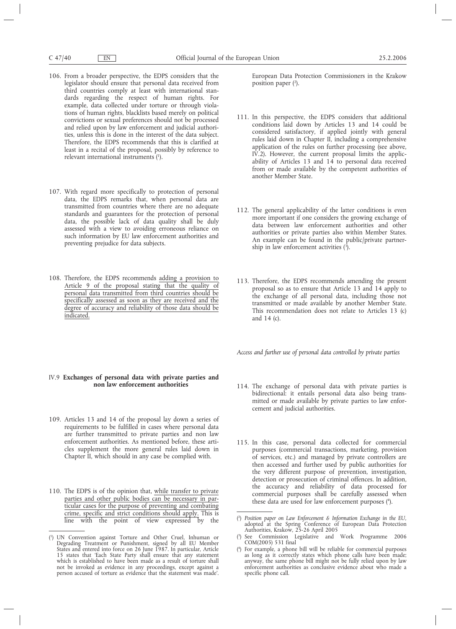- 106. From a broader perspective, the EDPS considers that the legislator should ensure that personal data received from third countries comply at least with international standards regarding the respect of human rights. For example, data collected under torture or through violations of human rights, blacklists based merely on political convictions or sexual preferences should not be processed and relied upon by law enforcement and judicial authorities, unless this is done in the interest of the data subject. Therefore, the EDPS recommends that this is clarified at least in a recital of the proposal, possibly by reference to relevant international instruments (<sup>1</sup>).
- 107. With regard more specifically to protection of personal data, the EDPS remarks that, when personal data are transmitted from countries where there are no adequate standards and guarantees for the protection of personal data, the possible lack of data quality shall be duly assessed with a view to avoiding erroneous reliance on such information by EU law enforcement authorities and preventing prejudice for data subjects.
- 108. Therefore, the EDPS recommends adding a provision to Article 9 of the proposal stating that the quality of personal data transmitted from third countries should be specifically assessed as soon as they are received and the degree of accuracy and reliability of those data should be indicated.

# IV.9 **Exchanges of personal data with private parties and non law enforcement authorities**

- 109. Articles 13 and 14 of the proposal lay down a series of requirements to be fulfilled in cases where personal data are further transmitted to private parties and non law enforcement authorities. As mentioned before, these articles supplement the more general rules laid down in Chapter II, which should in any case be complied with.
- 110. The EDPS is of the opinion that, while transfer to private parties and other public bodies can be necessary in particular cases for the purpose of preventing and combating crime, specific and strict conditions should apply. This is line with the point of view expressed by the

European Data Protection Commissioners in the Krakow position paper (2).

- 111. In this perspective, the EDPS considers that additional conditions laid down by Articles 13 and 14 could be considered satisfactory, if applied jointly with general rules laid down in Chapter II, including a comprehensive application of the rules on further processing (see above, IV.2). However, the current proposal limits the applicability of Articles 13 and 14 to personal data received from or made available by the competent authorities of another Member State.
- 112. The general applicability of the latter conditions is even more important if one considers the growing exchange of data between law enforcement authorities and other authorities or private parties also within Member States. An example can be found in the public/private partnership in law enforcement activities (3).
- 113. Therefore, the EDPS recommends amending the present proposal so as to ensure that Article 13 and 14 apply to the exchange of *all* personal data, including those not transmitted or made available by another Member State. This recommendation does not relate to Articles 13 (c) and 14 (c).

*Access and further use of personal data controlled by private parties*

- 114. The exchange of personal data with private parties is bidirectional: it entails personal data also being transmitted or made available by private parties to law enforcement and judicial authorities.
- 115. In this case, personal data collected for commercial purposes (commercial transactions, marketing, provision of services, etc.) and managed by private controllers are then accessed and further used by public authorities for the very different purpose of prevention, investigation, detection or prosecution of criminal offences. In addition, the accuracy and reliability of data processed for commercial purposes shall be carefully assessed when these data are used for law enforcement purposes (4 ).

<sup>(</sup> 1 ) UN Convention against Torture and Other Cruel, Inhuman or Degrading Treatment or Punishment, signed by all EU Member States and entered into force on 26 June 1987. In particular, Article 15 states that 'Each State Party shall ensure that any statement which is established to have been made as a result of torture shall not be invoked as evidence in any proceedings, except against a person accused of torture as evidence that the statement was made'.

<sup>(</sup> 2 ) *Position paper on Law Enforcement & Information Exchange in the EU,* adopted at the Spring Conference of European Data Protection Authorities, Krakow, 25-26 April 2005

<sup>(</sup> 3 ) See Commission Legislative and Work Programme 2006 COM(2005) 531 final

<sup>(</sup> 4 ) For example, a phone bill will be reliable for commercial purposes as long as it correctly states which phone calls have been made; anyway, the same phone bill might not be fully relied upon by law enforcement authorities as conclusive evidence about who made a specific phone call.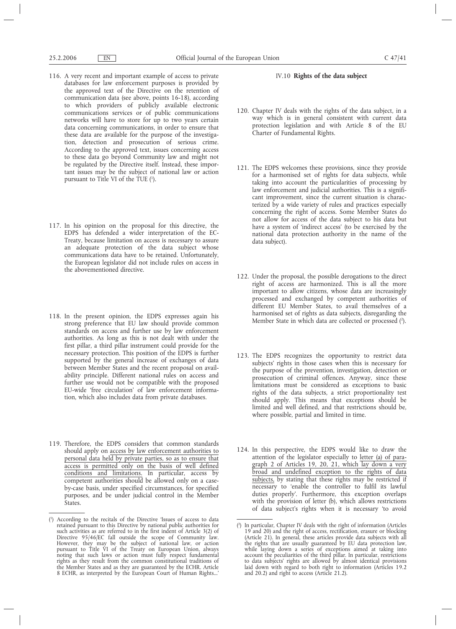- 116. A very recent and important example of access to private databases for law enforcement purposes is provided by the approved text of the Directive on the retention of communication data (see above, points 16-18), according to which providers of publicly available electronic communications services or of public communications networks will have to store for up to two years certain data concerning communications, in order to ensure that these data are available for the purpose of the investigation, detection and prosecution of serious crime. According to the approved text, issues concerning access to these data go beyond Community law and might not be regulated by the Directive itself. Instead, these important issues may be the subject of national law or action pursuant to Title VI of the TUE (<sup>1</sup>).
- 117. In his opinion on the proposal for this directive, the EDPS has defended a wider interpretation of the EC-Treaty, because limitation on access is necessary to assure an adequate protection of the data subject whose communications data have to be retained. Unfortunately, the European legislator did not include rules on access in the abovementioned directive.
- 118. In the present opinion, the EDPS expresses again his strong preference that EU law should provide common standards on access and further use by law enforcement authorities. As long as this is not dealt with under the first pillar, a third pillar instrument could provide for the necessary protection. This position of the EDPS is further supported by the general increase of exchanges of data between Member States and the recent proposal on availability principle. Different national rules on access and further use would not be compatible with the proposed EU-wide 'free circulation' of law enforcement information, which also includes data from private databases.
- 119. Therefore, the EDPS considers that common standards should apply on access by law enforcement authorities to personal data held by private parties, so as to ensure that access is permitted only on the basis of well defined conditions and limitations. In particular, access by competent authorities should be allowed only on a caseby-case basis, under specified circumstances, for specified purposes, and be under judicial control in the Member States.

## IV.10 **Rights of the data subject**

- 120. Chapter IV deals with the rights of the data subject, in a way which is in general consistent with current data protection legislation and with Article 8 of the EU Charter of Fundamental Rights.
- 121. The EDPS welcomes these provisions, since they provide for a harmonised set of rights for data subjects, while taking into account the particularities of processing by law enforcement and judicial authorities. This is a significant improvement, since the current situation is characterized by a wide variety of rules and practices especially concerning the right of access. Some Member States do not allow for access of the data subject to his data but have a system of 'indirect access' (to be exercised by the national data protection authority in the name of the data subject).
- 122. Under the proposal, the possible derogations to the direct right of access are harmonized. This is all the more important to allow citizens, whose data are increasingly processed and exchanged by competent authorities of different EU Member States, to avail themselves of a harmonised set of rights as data subjects, disregarding the Member State in which data are collected or processed (2 ).
- 123. The EDPS recognizes the opportunity to restrict data subjects' rights in those cases when this is necessary for the purpose of the prevention, investigation, detection or prosecution of criminal offences. Anyway, since these limitations must be considered as exceptions to basic rights of the data subjects, a strict proportionality test should apply. This means that exceptions should be limited and well defined, and that restrictions should be, where possible, partial and limited in time.
- 124. In this perspective, the EDPS would like to draw the attention of the legislator especially to letter (a) of paragraph 2 of Articles 19, 20, 21, which lay down a very broad and undefined exception to the rights of data subjects, by stating that these rights may be restricted if necessary to 'enable the controller to fulfil its lawful duties properly'. Furthermore, this exception overlaps with the provision of letter (b), which allows restrictions of data subject's rights when it is necessary 'to avoid

<sup>(</sup> 1 ) According to the recitals of the Directive 'Issues of access to data retained pursuant to this Directive by national public authorities for such activities as are referred to in the first indent of Article 3(2) of Directive 95/46/EC fall outside the scope of Community law. However, they may be the subject of national law, or action pursuant to Title VI of the Treaty on European Union, always noting that such laws or action must fully respect fundamental rights as they result from the common constitutional traditions of the Member States and as they are guaranteed by the ECHR. Article 8 ECHR, as interpreted by the European Court of Human Rights...'

<sup>(</sup> 2 ) In particular, Chapter IV deals with the right of information (Articles 19 and 20) and the right of access, rectification, erasure or blocking (Article 21). In general, these articles provide data subjects with all the rights that are usually guaranteed by EU data protection law, while laying down a series of exceptions aimed at taking into account the peculiarities of the third pillar. In particular, restrictions to data subjects' rights are allowed by almost identical provisions laid down with regard to both right to information (Articles 19.2 and 20.2) and right to access (Article 21.2).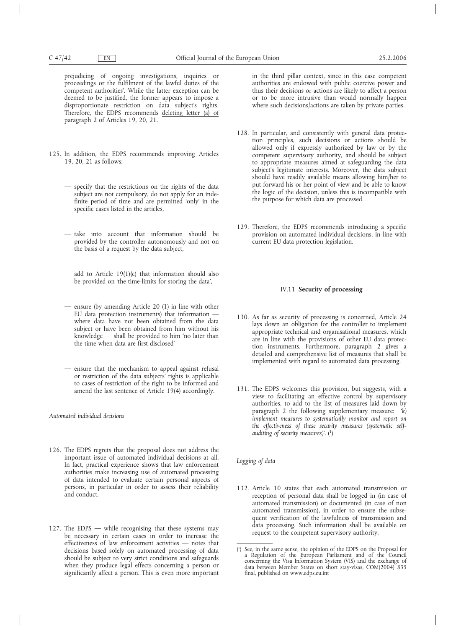prejudicing of ongoing investigations, inquiries or proceedings or the fulfilment of the lawful duties of the competent authorities'. While the latter exception can be deemed to be justified, the former appears to impose a disproportionate restriction on data subject's rights. Therefore, the EDPS recommends deleting letter (a) of paragraph 2 of Articles 19, 20, 21.

- 125. In addition, the EDPS recommends improving Articles 19, 20, 21 as follows:
	- specify that the restrictions on the rights of the data subject are not compulsory, do not apply for an indefinite period of time and are permitted 'only' in the specific cases listed in the articles,
	- take into account that information should be provided by the controller autonomously and not on the basis of a request by the data subject,
	- add to Article  $19(1)(c)$  that information should also be provided on 'the time-limits for storing the data',
	- ensure (by amending Article 20 (1) in line with other EU data protection instruments) that information where data have not been obtained from the data subject or have been obtained from him without his knowledge — shall be provided to him 'no later than the time when data are first disclosed'
	- ensure that the mechanism to appeal against refusal or restriction of the data subjects' rights is applicable to cases of restriction of the right to be informed and amend the last sentence of Article 19(4) accordingly.

*Automated individual decisions*

- 126. The EDPS regrets that the proposal does not address the important issue of automated individual decisions at all. In fact, practical experience shows that law enforcement authorities make increasing use of automated processing of data intended to evaluate certain personal aspects of persons, in particular in order to assess their reliability and conduct.
- 127. The EDPS while recognising that these systems may be necessary in certain cases in order to increase the effectiveness of law enforcement activities — notes that decisions based solely on automated processing of data should be subject to very strict conditions and safeguards when they produce legal effects concerning a person or significantly affect a person. This is even more important

in the third pillar context, since in this case competent authorities are endowed with public coercive power and thus their decisions or actions are likely to affect a person or to be more intrusive than would normally happen where such decisions/actions are taken by private parties.

- 128. In particular, and consistently with general data protection principles, such decisions or actions should be allowed only if expressly authorized by law or by the competent supervisory authority, and should be subject to appropriate measures aimed at safeguarding the data subject's legitimate interests. Moreover, the data subject should have readily available means allowing him/her to put forward his or her point of view and be able to know the logic of the decision, unless this is incompatible with the purpose for which data are processed.
- 129. Therefore, the EDPS recommends introducing a specific provision on automated individual decisions, in line with current EU data protection legislation.

# IV.11 **Security of processing**

- 130. As far as security of processing is concerned, Article 24 lays down an obligation for the controller to implement appropriate technical and organisational measures, which are in line with the provisions of other EU data protection instruments. Furthermore, paragraph 2 gives a detailed and comprehensive list of measures that shall be implemented with regard to automated data processing.
- 131. The EDPS welcomes this provision, but suggests, with a view to facilitating an effective control by supervisory authorities, to add to the list of measures laid down by paragraph 2 the following supplementary measure: *'k) implement measures to systematically monitor and report on the effectiveness of these security measures (systematic self*auditing of security measures)'. (1)

*Logging of data*

132. Article 10 states that each automated transmission or reception of personal data shall be logged in (in case of automated transmission) or documented (in case of non automated transmission), in order to ensure the subsequent verification of the lawfulness of transmission and data processing. Such information shall be available on request to the competent supervisory authority.

<sup>(</sup> 1 ) See, in the same sense, the opinion of the EDPS on the Proposal for a Regulation of the European Parliament and of the Council concerning the Visa Information System (VIS) and the exchange of data between Member States on short stay-visas, COM(2004) 835 final, published on www.edps.eu.int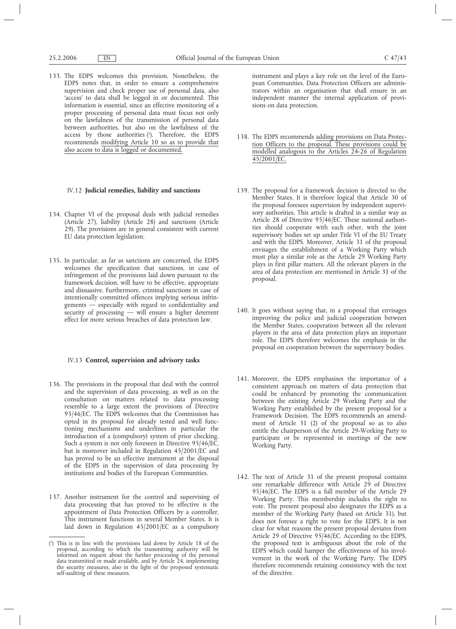133. The EDPS welcomes this provision. Nonetheless, the EDPS notes that, in order to ensure a comprehensive supervision and check proper use of personal data, also 'access' to data shall be logged in or documented. This information is essential, since an effective monitoring of a proper processing of personal data must focus not only on the lawfulness of the transmission of personal data between authorities, but also on the lawfulness of the access by those authorities (1 ). Therefore, the EDPS recommends modifying Article 10 so as to provide that also access to data is logged or documented.

# IV.12 **Judicial remedies, liability and sanctions**

- 134. Chapter VI of the proposal deals with judicial remedies (Article 27), liability (Article 28) and sanctions (Article 29). The provisions are in general consistent with current EU data protection legislation.
- 135. In particular, as far as sanctions are concerned, the EDPS welcomes the specification that sanctions, in case of infringement of the provisions laid down pursuant to the framework decision, will have to be effective, appropriate and dissuasive. Furthermore, criminal sanctions in case of intentionally committed offences implying serious infringements — especially with regard to confidentiality and security of processing — will ensure a higher deterrent effect for more serious breaches of data protection law.

# IV.13 **Control, supervision and advisory tasks**

- 136. The provisions in the proposal that deal with the control and the supervision of data processing, as well as on the consultation on matters related to data processing resemble to a large extent the provisions of Directive 95/46/EC. The EDPS welcomes that the Commission has opted in its proposal for already tested and well functioning mechanisms and underlines in particular the introduction of a (compulsory) system of prior checking. Such a system is not only foreseen in Directive 95/46/EC, but is moreover included in Regulation 45/2001/EC and has proved to be an effective instrument at the disposal of the EDPS in the supervision of data processing by institutions and bodies of the European Communities.
- 137. Another instrument for the control and supervising of data processing that has proved to be effective is the appointment of Data Protection Officers by a controller. This instrument functions in several Member States. It is laid down in Regulation 45/2001/EC as a compulsory

instrument and plays a key role on the level of the European Communities. Data Protection Officers are administrators within an organisation that shall ensure in an independent manner the internal application of provisions on data protection.

- 138. The EDPS recommends adding provisions on Data Protection Officers to the proposal. These provisions could be modelled analogous to the Articles 24-26 of Regulation 45/2001/EC.
- 139. The proposal for a framework decision is directed to the Member States. It is therefore logical that Article 30 of the proposal foresees supervision by independent supervisory authorities. This article is drafted in a similar way as Article 28 of Directive 95/46/EC. These national authorities should cooperate with each other, with the joint supervisory bodies set up under Title VI of the EU Treaty and with the EDPS. Moreover, Article 31 of the proposal envisages the establishment of a Working Party which must play a similar role as the Article 29 Working Party plays in first pillar matters. All the relevant players in the area of data protection are mentioned in Article 31 of the proposal.
- 140. It goes without saying that, in a proposal that envisages improving the police and judicial cooperation between the Member States, cooperation between all the relevant players in the area of data protection plays an important role. The EDPS therefore welcomes the emphasis in the proposal on cooperation between the supervisory bodies.
- 141. Moreover, the EDPS emphasises the importance of a consistent approach on matters of data protection that could be enhanced by promoting the communication between the existing Article 29 Working Party and the Working Party established by the present proposal for a Framework Decision. The EDPS recommends an amendment of Article 31 (2) of the proposal so as to also entitle the chairperson of the Article 29-Working Party to participate or be represented in meetings of the new Working Party.
- 142. The text of Article 31 of the present proposal contains one remarkable difference with Article 29 of Directive 95/46/EC. The EDPS is a full member of the Article 29 Working Party. This membership includes the right to vote. The present proposal also designates the EDPS as a member of the Working Party (based on Article 31), but does not foresee a right to vote for the EDPS. It is not clear for what reasons the present proposal deviates from Article 29 of Directive 95/46/EC. According to the EDPS, the proposed text is ambiguous about the role of the EDPS which could hamper the effectiveness of his involvement in the work of the Working Party. The EDPS therefore recommends retaining consistency with the text of the directive.

<sup>(</sup> 1 ) This is in line with the provisions laid down by Article 18 of the proposal, according to which the transmitting authority will be informed on request about the further processing of the personal data transmitted or made available, and by Article 24, implementing the security measures, also in the light of the proposed systematic self-auditing of these measures.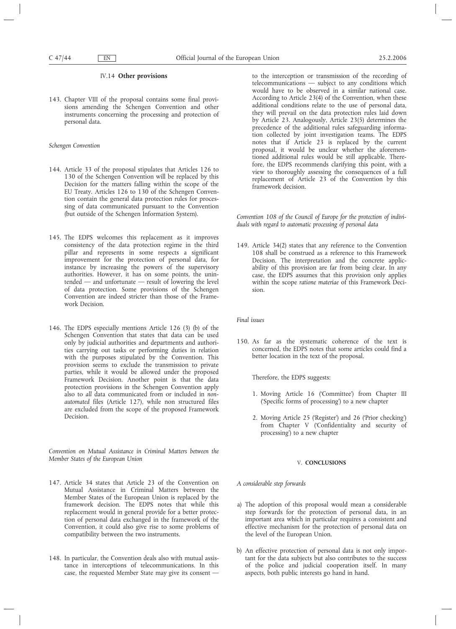#### IV.14 **Other provisions**

143. Chapter VIII of the proposal contains some final provisions amending the Schengen Convention and other instruments concerning the processing and protection of personal data.

## *Schengen Convention*

- 144. Article 33 of the proposal stipulates that Articles 126 to 130 of the Schengen Convention will be replaced by this Decision for the matters falling within the scope of the EU Treaty. Articles 126 to 130 of the Schengen Convention contain the general data protection rules for processing of data communicated pursuant to the Convention (but outside of the Schengen Information System).
- 145. The EDPS welcomes this replacement as it improves consistency of the data protection regime in the third pillar and represents in some respects a significant improvement for the protection of personal data, for instance by increasing the powers of the supervisory authorities. However, it has on some points, the unintended — and unfortunate — result of lowering the level of data protection. Some provisions of the Schengen Convention are indeed stricter than those of the Framework Decision.
- 146. The EDPS especially mentions Article 126 (3) (b) of the Schengen Convention that states that data can be used only by judicial authorities and departments and authorities carrying out tasks or performing duties in relation with the purposes stipulated by the Convention. This provision seems to exclude the transmission to private parties, while it would be allowed under the proposed Framework Decision. Another point is that the data protection provisions in the Schengen Convention apply also to *all* data communicated from or included in *nonautomated* files (Article 127), while non structured files are excluded from the scope of the proposed Framework Decision.

*Convention on Mutual Assistance in Criminal Matters between the Member States of the European Union*

- 147. Article 34 states that Article 23 of the Convention on Mutual Assistance in Criminal Matters between the Member States of the European Union is replaced by the framework decision. The EDPS notes that while this replacement would in general provide for a better protection of personal data exchanged in the framework of the Convention, it could also give rise to some problems of compatibility between the two instruments.
- 148. In particular, the Convention deals also with mutual assistance in interceptions of telecommunications. In this case, the requested Member State may give its consent —

to the interception or transmission of the recording of telecommunications — subject to any conditions which would have to be observed in a similar national case. According to Article 23(4) of the Convention, when these additional conditions relate to the use of personal data, they will prevail on the data protection rules laid down by Article 23. Analogously, Article 23(5) determines the precedence of the additional rules safeguarding information collected by joint investigation teams. The EDPS notes that if Article 23 is replaced by the current proposal, it would be unclear whether the aforementioned additional rules would be still applicable. Therefore, the EDPS recommends clarifying this point, with a view to thoroughly assessing the consequences of a full replacement of Article 23 of the Convention by this framework decision.

*Convention 108 of the Council of Europe for the protection of individuals with regard to automatic processing of personal data*

149. Article 34(2) states that any reference to the Convention 108 shall be construed as a reference to this Framework Decision. The interpretation and the concrete applicability of this provision are far from being clear. In any case, the EDPS assumes that this provision only applies within the scope *ratione materiae* of this Framework Decision.

*Final issues*

150. As far as the systematic coherence of the text is concerned, the EDPS notes that some articles could find a better location in the text of the proposal.

Therefore, the EDPS suggests:

- 1. Moving Article 16 ('Committee') from Chapter III ('Specific forms of processing') to a new chapter
- 2. Moving Article 25 ('Register') and 26 ('Prior checking') from Chapter V ('Confidentiality and security of processing') to a new chapter

## V. **CONCLUSIONS**

*A considerable step forwards*

- a) The adoption of this proposal would mean a considerable step forwards for the protection of personal data, in an important area which in particular requires a consistent and effective mechanism for the protection of personal data on the level of the European Union.
- b) An effective protection of personal data is not only important for the data subjects but also contributes to the success of the police and judicial cooperation itself. In many aspects, both public interests go hand in hand.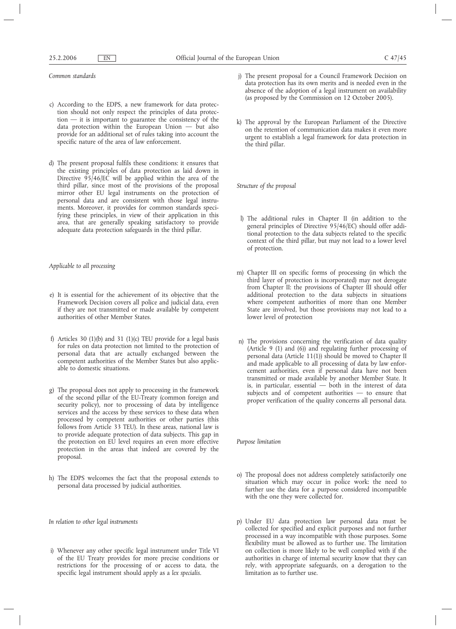*Common standards*

- c) According to the EDPS, a new framework for data protection should not only respect the principles of data protection — it is important to guarantee the consistency of the data protection within the European Union — but also provide for an additional set of rules taking into account the specific nature of the area of law enforcement.
- d) The present proposal fulfils these conditions: it ensures that the existing principles of data protection as laid down in Directive  $95/46$ /EC will be applied within the area of the third pillar, since most of the provisions of the proposal mirror other EU legal instruments on the protection of personal data and are consistent with those legal instruments. Moreover, it provides for common standards specifying these principles, in view of their application in this area, that are generally speaking satisfactory to provide adequate data protection safeguards in the third pillar.

*Applicable to all processing*

- e) It is essential for the achievement of its objective that the Framework Decision covers all police and judicial data, even if they are not transmitted or made available by competent authorities of other Member States.
- f) Articles 30 (1)(b) and 31 (1)(c) TEU provide for a legal basis for rules on data protection not limited to the protection of personal data that are actually exchanged between the competent authorities of the Member States but also applicable to domestic situations.
- g) The proposal does not apply to processing in the framework of the second pillar of the EU-Treaty (common foreign and security policy), nor to processing of data by intelligence services and the access by these services to these data when processed by competent authorities or other parties (this follows from Article 33 TEU). In these areas, national law is to provide adequate protection of data subjects. This gap in the protection on EU level requires an even more effective protection in the areas that indeed are covered by the proposal.
- h) The EDPS welcomes the fact that the proposal extends to personal data processed by judicial authorities.

*In relation to other legal instruments*

i) Whenever any other specific legal instrument under Title VI of the EU Treaty provides for more precise conditions or restrictions for the processing of or access to data, the specific legal instrument should apply as a *lex specialis*.

- j) The present proposal for a Council Framework Decision on data protection has its own merits and is needed even in the absence of the adoption of a legal instrument on availability (as proposed by the Commission on 12 October 2005).
- k) The approval by the European Parliament of the Directive on the retention of communication data makes it even more urgent to establish a legal framework for data protection in the third pillar.

*Structure of the proposal*

- l) The additional rules in Chapter II (in addition to the general principles of Directive 95/46/EC) should offer additional protection to the data subjects related to the specific context of the third pillar, but may not lead to a lower level of protection.
- m) Chapter III on specific forms of processing (in which the third layer of protection is incorporated) may not derogate from Chapter II: the provisions of Chapter III should offer additional protection to the data subjects in situations where competent authorities of more than one Member State are involved, but those provisions may not lead to a lower level of protection
- n) The provisions concerning the verification of data quality (Article 9 (1) and (6)) and regulating further processing of personal data (Article 11(1)) should be moved to Chapter II and made applicable to all processing of data by law enforcement authorities, even if personal data have not been transmitted or made available by another Member State. It is, in particular, essential  $-$  both in the interest of data subjects and of competent authorities — to ensure that proper verification of the quality concerns all personal data.

*Purpose limitation*

- o) The proposal does not address completely satisfactorily one situation which may occur in police work: the need to further use the data for a purpose considered incompatible with the one they were collected for.
- p) Under EU data protection law personal data must be collected for specified and explicit purposes and not further processed in a way incompatible with those purposes. Some flexibility must be allowed as to further use. The limitation on collection is more likely to be well complied with if the authorities in charge of internal security know that they can rely, with appropriate safeguards, on a derogation to the limitation as to further use.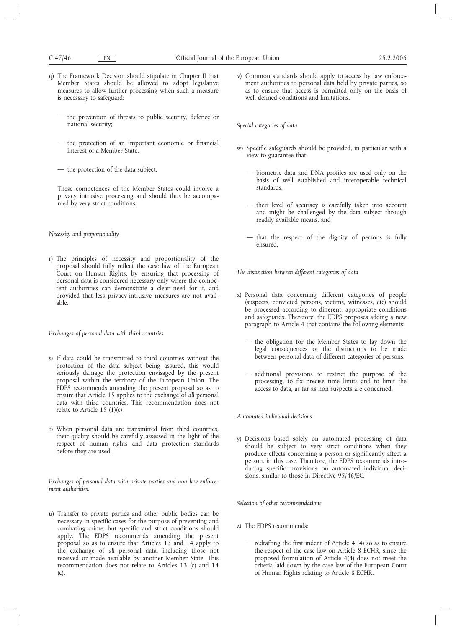- q) The Framework Decision should stipulate in Chapter II that Member States should be allowed to adopt legislative measures to allow further processing when such a measure is necessary to safeguard:
	- the prevention of threats to public security, defence or national security;
	- the protection of an important economic or financial interest of a Member State.
	- the protection of the data subject.

These competences of the Member States could involve a privacy intrusive processing and should thus be accompanied by very strict conditions

## *Necessity and proportionality*

r) The principles of necessity and proportionality of the proposal should fully reflect the case law of the European Court on Human Rights, by ensuring that processing of personal data is considered necessary only where the competent authorities can demonstrate a clear need for it, and provided that less privacy-intrusive measures are not available.

#### *Exchanges of personal data with third countries*

- s) If data could be transmitted to third countries without the protection of the data subject being assured, this would seriously damage the protection envisaged by the present proposal within the territory of the European Union. The EDPS recommends amending the present proposal so as to ensure that Article 15 applies to the exchange of all personal data with third countries. This recommendation does not relate to Article 15  $(1)(c)$
- t) When personal data are transmitted from third countries, their quality should be carefully assessed in the light of the respect of human rights and data protection standards before they are used.

*Exchanges of personal data with private parties and non law enforcement authorities.*

u) Transfer to private parties and other public bodies can be necessary in specific cases for the purpose of preventing and combating crime, but specific and strict conditions should apply. The EDPS recommends amending the present proposal so as to ensure that Articles 13 and 14 apply to the exchange of *all* personal data, including those not received or made available by another Member State. This recommendation does not relate to Articles 13 (c) and 14 (c).

v) Common standards should apply to access by law enforcement authorities to personal data held by private parties, so as to ensure that access is permitted only on the basis of well defined conditions and limitations.

*Special categories of data*

- w) Specific safeguards should be provided, in particular with a view to guarantee that:
	- biometric data and DNA profiles are used only on the basis of well established and interoperable technical standards,
	- their level of accuracy is carefully taken into account and might be challenged by the data subject through readily available means, and
	- that the respect of the dignity of persons is fully ensured.

*The distinction between different categories of data*

- x) Personal data concerning different categories of people (suspects, convicted persons, victims, witnesses, etc) should be processed according to different, appropriate conditions and safeguards. Therefore, the EDPS proposes adding a new paragraph to Article 4 that contains the following elements:
	- the obligation for the Member States to lay down the legal consequences of the distinctions to be made between personal data of different categories of persons.
	- additional provisions to restrict the purpose of the processing, to fix precise time limits and to limit the access to data, as far as non suspects are concerned.

*Automated individual decisions*

y) Decisions based solely on automated processing of data should be subject to very strict conditions when they produce effects concerning a person or significantly affect a person. in this case. Therefore, the EDPS recommends introducing specific provisions on automated individual decisions, similar to those in Directive 95/46/EC.

*Selection of other recommendations*

- z) The EDPS recommends:
	- redrafting the first indent of Article 4 (4) so as to ensure the respect of the case law on Article 8 ECHR, since the proposed formulation of Article 4(4) does not meet the criteria laid down by the case law of the European Court of Human Rights relating to Article 8 ECHR.